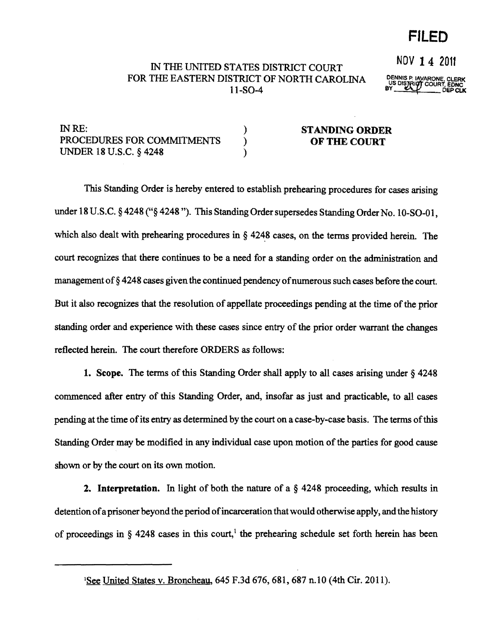**FILED** 

# IN THE UNITED STATES DISTRICT COURT NOV 1 4 2011 FOR THE EASTERN DISTRICT OF NORTH CAROLINA Il-S0-4

DENNIS P, IAVARONE, CLERK<br>US DISTRICT COURT, EDNC<br>BY DEP CLK

| IN RE:                     | <b>STANDING ORDER</b> |
|----------------------------|-----------------------|
| PROCEDURES FOR COMMITMENTS | OF THE COURT          |
| UNDER 18 U.S.C. § 4248     |                       |

This Standing Order is hereby entered to establish prehearing procedmes for cases arising under 18 U.S.C. §4248 ("§4248"). This Standing Order supersedes Standing Order No. 10-SO-01, which also dealt with prehearing procedures in  $\S$  4248 cases, on the terms provided herein. The court recognizes that there continues to be a need for a standing order on the administration and management of §4248 cases given the continued pendency of numerous such cases before the court. But it also recognizes that the resolution of appellate proceedings pending at the time of the prior standing order and experience with these cases since entry of the prior order warrant the changes reflected herein. The court therefore ORDERS as follows:

1. Scope. The terms of this Standing Order shall apply to all cases arising under  $\S$  4248 commenced after entry of this Standing Order, and, insofar as just and practicable, to all cases pending at the time of its entry as determined by the court on a case-by-case basis. The terms of this Standing Order may be modified in any individual case upon motion of the parties for good cause shown or by the court on its own motion.

**2. Interpretation.** In light of both the nature of a  $\S$  4248 proceeding, which results in detention ofa prisoner beyond the period ofincarceration that would otherwise apply, and the history of proceedings in  $\S$  4248 cases in this court,<sup>1</sup> the prehearing schedule set forth herein has been

<sup>&</sup>lt;sup>1</sup>See United States v. Broncheau, 645 F.3d 676, 681, 687 n.10 (4th Cir. 2011).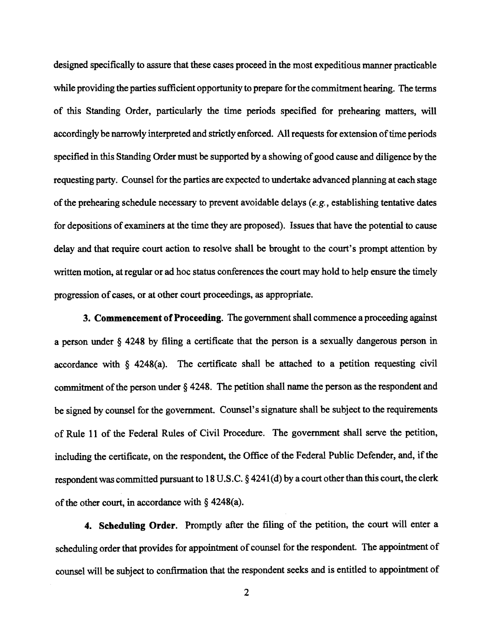designed specifically to assure that these cases proceed in the most expeditious manner practicable while providing the parties sufficient opportunity to prepare for the commitment hearing. The terms of this Standing Order, particularly the time periods specified for prehearing matters, will accordingly be narrowly interpreted and strictly enforced. All requests for extension of time periods specified in this Standing Order must be supported by a showing of good cause and diligence by the requesting party. Counsel for the parties are expected to undertake advanced planning at each stage of the prehearing schedule necessary to prevent avoidable delays (e.g., establishing tentative dates for depositions of examiners at the time they are proposed). Issues that have the potential to cause delay and that require court action to resolve shall be brought to the court's prompt attention by written motion, at regular or ad hoc status conferences the court may hold to help ensure the timely progression of cases, or at other court proceedings, as appropriate.

3. Commencement of Proceeding. The government shall commence a proceeding against a person under § 4248 by filing a certificate that the person is a sexually dangerous person in accordance with § 4248(a). The certificate shall be attached to a petition requesting civil commitment of the person under  $\S$  4248. The petition shall name the person as the respondent and be signed by counsel for the government. Counsel's signature shall be subject to the requirements of Rule 11 of the Federal Rules of Civil Procedure. The government shall serve the petition, including the certificate, on the respondent, the Office of the Federal Public Defender, and, if the respondent was committed pursuant to 18 U.S.C.  $\S$  4241(d) by a court other than this court, the clerk of the other court, in accordance with  $\S$  4248(a).

4. Scheduling Order. Promptly after the filing of the petition, the court will enter a scheduling order that provides for appointment of counsel for the respondent. The appointment of counsel will be subject to confinnation that the respondent seeks and is entitled to appointment of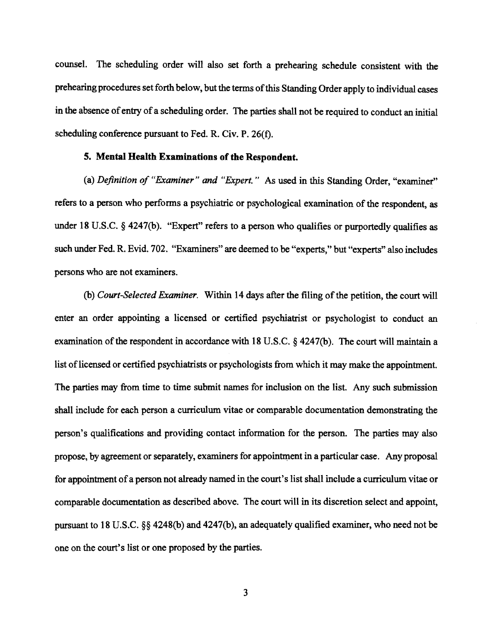counsel. The scheduling order will also set forth a preheating schedule consistent with the prehearing procedures set forth below, but the terms of this Standing Order apply to individual cases in the absence of entry of a scheduling order. The parties shall not be required to conduct an initial scheduling conference pursuant to Fed. R. Civ. P. 26(f).

### **5. Mental Health Examinations of the Respondent.**

(a) *Definition of "Examiner" and "Expert."* As used in this Standing Order, "examiner" refers to a person who performs a psychiatric or psychological examination of the respondent, as under 18 U.S.C. § 4247(b). "Expert" refers to a person who qualifies or purportedly qualifies as such under Fed. R. Evid. 702. "Examiners" are deemed to be "experts," but "experts" also includes persons who are not examiners.

(b) *Court-Selected Examiner*. Within 14 days after the filing of the petition, the court will enter an order appointing a licensed or certified psychiatrist or psychologist to conduct an examination of the respondent in accordance with 18 U.S.C.  $\S$  4247(b). The court will maintain a list of licensed or certified psychiatrists or psychologists from which it may make the appointment. The parties may from time to time submit names for inclusion on the list. Any such submission shall include for each person a curriculum vitae or comparable documentation demonstrating the person's qualifications and providing contact information for the person. The parties may also propose, by agreement or separately, examiners for appointment in a particular case. Any proposal for appointment of a person not already named in the court's list shall include a curriculum vitae or comparable documentation as described above. The court will in its discretion select and appoint, pursuant to 18 U.S.C. §§ 4248(b) and 4247(b), an adequately qualified examiner, who need not be one on the court's list or one proposed by the parties.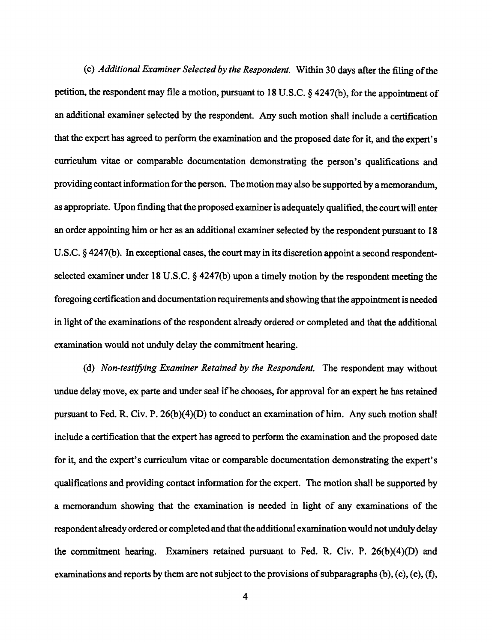(c) *Additional Examiner Selected by the Respondent.* Within 30 days after the filing ofthe petition, the respondent may file a motion, pursuant to 18 U.S.C. § 424 7(b), for the appointment of an additional examiner selected by the respondent. Any such motion shall include a certification that the expert has agreed to perform the examination and the proposed date for it, and the expert's curriculum vitae or comparable documentation demonstrating the person's qualifications and providing contact information for the person. The motion may also be supported by a memorandum, as appropriate. Upon finding that the proposed examiner is adequately qualified, the court will enter an order appointing him or her as an additional examiner selected by the respondent pursuant to 18 U.S.C. § 4247(b). In exceptional cases, the court may in its discretion appoint a second respondentselected examiner under 18 U.S.C. § 4247(b) upon a timely motion by the respondent meeting the foregoing certification and documentation requirements and showing that the appointment is needed in light of the examinations of the respondent already ordered or completed and that the additional examination would not unduly delay the commitment hearing.

(d) *Non-testifying Examiner Retained by the Respondent.* The respondent may without undue delay move, ex parte and under seal ifhe chooses, for approval for an expert he has retained pursuant to Fed. R. Civ. P.  $26(b)(4)(D)$  to conduct an examination of him. Any such motion shall include a certification that the expert has agreed to perform the examination and the proposed date for it, and the expert's curriculum vitae or comparable documentation demonstrating the expert's qualifications and providing contact information for the expert. The motion shall be supported by a memorandum showing that the examination is needed in light of any examinations of the respondent already ordered or completed and that the additional examination would not unduly delay the commitment hearing. Examiners retained pursuant to Fed. R. Civ. P. 26(b)(4)(D) and examinations and reports by them are not subject to the provisions of subparagraphs  $(b)$ ,  $(c)$ ,  $(e)$ ,  $(f)$ ,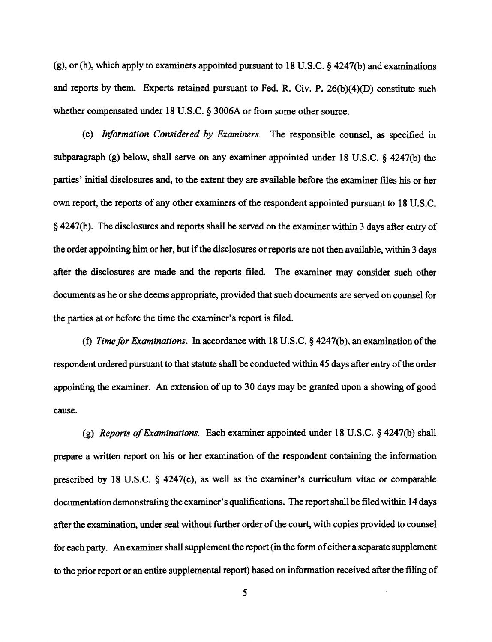(g), or (h), which apply to examiners appointed pursuant to 18 U.S.C.  $\S$  4247(b) and examinations and reports by them. Experts retained pursuant to Fed. R. Civ. P. 26(b)(4)(D) constitute such whether compensated under 18 U.S.C. § 3006A or from some other source.

(e) *Information Considered by Examiners.* The responsible counsel, as specified in subparagraph (g) below, shall serve on any examiner appointed under 18 U.S.C. § 4247(b) the parties' initial disclosures and, to the extent they are available before the examiner files his or her own report, the reports of any other examiners of the respondent appointed pursuant to 18 U.S.C. § 4247(b). The disclosures and reports shall be served on the examiner within 3 days after entry of the order appointing him or her, but if the disclosures or reports are not then available, within 3 days after the disclosures are made and the reports filed. The examiner may consider such other documents as he or she deems appropriate, provided that such documents are served on counsel for the parties at or before the time the examiner's report is filed.

(t) *Timefor Examinations.* In accordance with 18 U.S.C. § 4247(b), an examination ofthe respondent ordered pursuant to that statute shall be conducted within 45 days after entry ofthe order appointing the examiner. An extension of up to 30 days may be granted upon a showing of good cause.

(g) *Reports ofExaminations.* Each examiner appointed under 18 U.S.C. § 4247(b) shall prepare a written report on his or her examination of the respondent containing the information prescribed by 18 U.S.C. § 4247(c), as well as the examiner's curriculum vitae or comparable documentation demonstrating the examiner's qualifications. The report shall be filed within 14 days after the examination, under seal without further order ofthe court, with copies provided to counsel for each party. An examiner shall supplement the report (in the form of either a separate supplement to the prior report or an entire supplemental report) based on information received after the filing of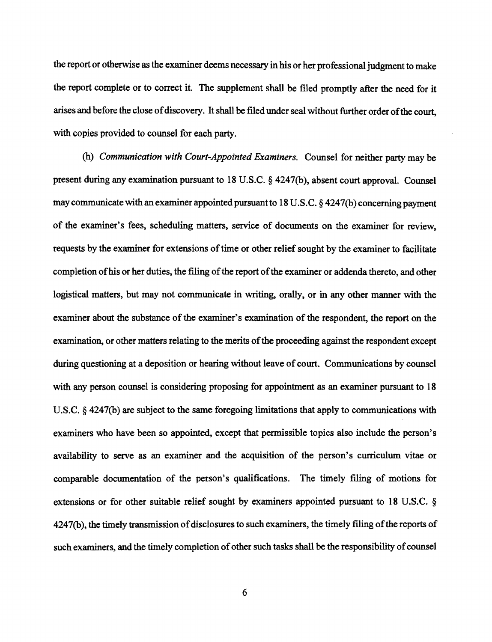the report or otherwise as the examiner deems necessary in his or her professional judgment to make the report complete or to correct it. The supplement shall be filed promptly after the need for it arises and before the close of discovery. It shall be filed under seal without further order of the court, with copies provided to counsel for each party.

(h) *Communication with Court-Appointed Examiners.* Counsel for neither party may be present during any examination pursuant to 18 U.S.C. § 4247(b), absent court approval. Counsel may communicate with an examiner appointed pursuant to 18 U.S.C. § 4247(b) concerning payment of the examiner's fees, scheduling matters, service of documents on the examiner for review, requests by the examiner for extensions of time or other relief sought by the examiner to facilitate completion of his or her duties, the filing of the report of the examiner or addenda thereto, and other logistical matters, but may not communicate in writing, orally, or in any other manner with the examiner about the substance of the examiner's examination of the respondent, the report on the examination, or other matters relating to the merits of the proceeding against the respondent except during questioning at a deposition or hearing without leave of court. Communications by counsel with any person counsel is considering proposing for appointment as an examiner pursuant to 18 U.S.C. § 4247(b) are subject to the same foregoing limitations that apply to communications with examiners who have been so appointed, except that permissible topics also include the person's availability to serve as an examiner and the acquisition of the person's curriculum vitae or comparable documentation of the person's qualifications. The timely filing of motions for extensions or for other suitable relief sought by examiners appointed pursuant to 18 U.S.C. § 4247(b), the timely transmission of disclosures to such examiners, the timely filing of the reports of such examiners, and the timely completion of other such tasks shall be the responsibility of counsel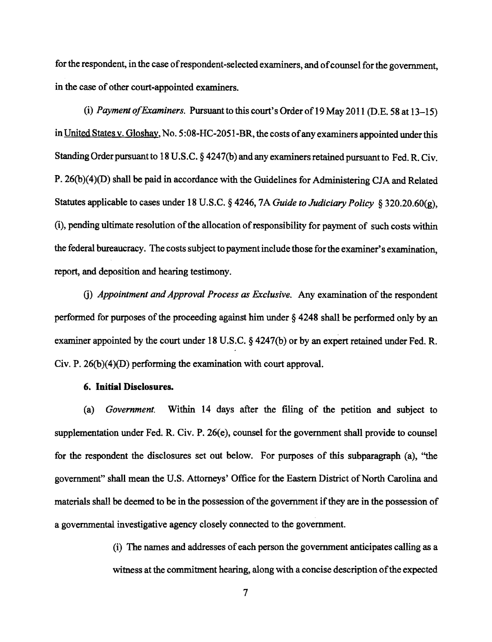for the respondent, in the case of respondent-selected examiners, and of counsel for the government, in the case of other court-appointed examiners.

(i) *Payment o/Examiners.* Pursuant to this court's Order of19 May 2011 (D.E. 58 at 13-15) in United States v. Gloshay, No. 5:08-HC-2051-BR, the costs of any examiners appointed under this Standing Order pursuant to 18 U.S.C. § 4247(b) and any examiners retained pursuant to Fed. R. Civ. P. 26(b)(4)(D) shall be paid in accordance with the Guidelines for Administering *CIA* and Related Statutes applicable to cases under 18 U.S.C. § 4246, 7A *Guide to Judiciary Policy* § 320.20.60(g), (i), pending ultimate resolution of the allocation of responsibility for payment of such costs within the federal bureaucracy. The costs subject to payment include those for the examiner's examination, report, and deposition and hearing testimony.

0) *Appointment and Approval Process as Exclusive.* Any examination of the respondent performed for purposes of the proceeding against him under  $\S$  4248 shall be performed only by an examiner appointed by the court under 18 U.S.C. § 4247(b) or by an expert retained under Fed. R. Civ. P. 26(b)(4)(D) performing the examination with court approval.

#### 6. **Initial** Disclosures.

(a) *Government.* Within 14 days after the filing of the petition and subject to supplementation under Fed. R. Civ. P. 26(e), counsel for the government shall provide to counsel for the respondent the disclosures set out below. For purposes of this subparagraph (a), ''the government" shall mean the U.S. Attorneys' Office for the Eastern District of North Carolina and materials shall be deemed to be in the possession of the government if they are in the possession of a governmental investigative agency closely connected to the government.

> (i) The names and addresses ofeach person the government anticipates calling as a witness at the commitment hearing, along with a concise description of the expected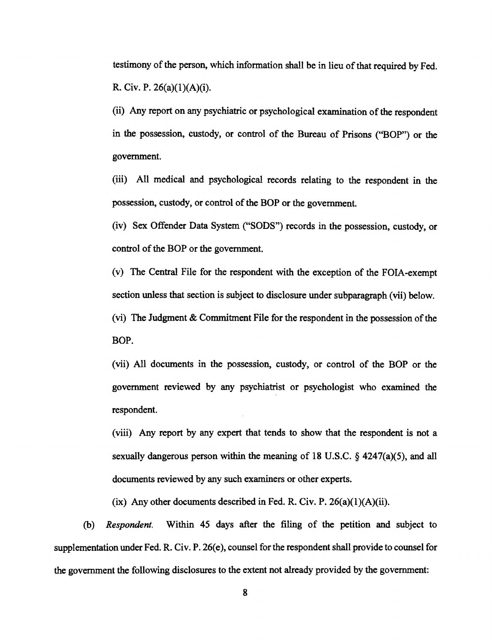testimony of the person, which information shall be in lieu of that required by Fed. R. Civ. P. 26(a)(1)(A)(i).

(ii) Any report on any psychiatric or psychological examination of the respondent in the possession, custody, or control of the Bureau of Prisons ("BOP") or the government.

(iii) All medical and psychological records relating to the respondent in the possession, custody, or control of the BOP or the government.

(iv) Sex Offender Data System ("SODS") records in the possession, custody, or control of the BOP or the government.

(v) The Central File for the respondent with the exception of the FOIA-exempt section unless that section is subject to disclosure under subparagraph (vii) below.

(vi) The Judgment  $&$  Commitment File for the respondent in the possession of the BOP.

(vii) All documents in the possession, custody, or control of the BOP or the government reviewed by any psychiatrist or psychologist who examined the respondent.

(viii) Any report by any expert that tends to show that the respondent is not a sexually dangerous person within the meaning of 18 U.S.C.  $\frac{247}{a}(3)$ , and all documents reviewed by any such examiners or other experts.

(ix) Any other documents described in Fed. R. Civ. P.  $26(a)(1)(A)(ii)$ .

(b) *Respondent.* Within 45 days after the filing of the petition and subject to supplementation under Fed. R. Civ. P. 26(e), counsel for the respondent shall provide to counsel for the government the following disclosures to the extent not already provided by the government: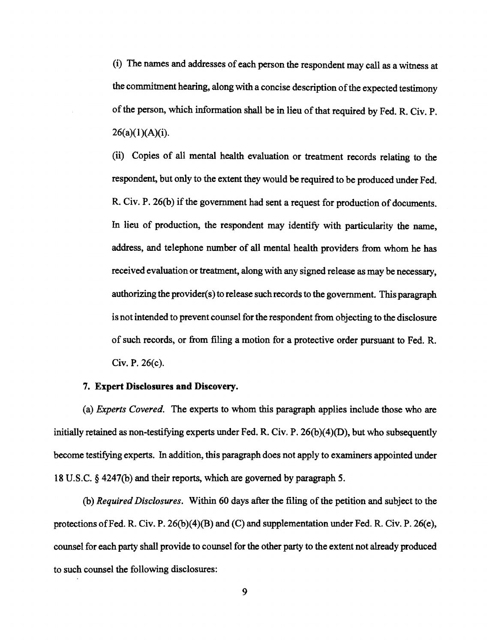(i) The names and addresses ofeach person the respondent may call as a witness at the commitment hearing, along with a concise description of the expected testimony of the person, which information shall be in lieu of that required by Fed. R. Civ. P.  $26(a)(1)(A)(i)$ .

(ii) Copies of all mental health evaluation or treatment records relating to the respondent, but only to the extent they would be required to be produced under Fed. R. Civ. P. 26(b) if the government had sent a request for production of documents. In lieu of production, the respondent may identify with particularity the name, address, and telephone number of all mental health providers from whom he has received evaluation or treatment, along with any signed release as may be necessary, authorizing the provider(s) to release such records to the government. This paragraph is not intended to prevent counsel for the respondent from objecting to the disclosure of such records, or from filing a motion for a protective order pursuant to Fed. R. Civ. P. 26(c).

#### **7. Expert Disclosures and Discovery.**

(a) *Experts Covered.* The experts to whom this paragraph applies include those who are initially retained as non-testifying experts under Fed. R. Civ. P.  $26(b)(4)(D)$ , but who subsequently become testifying experts. In addition, this paragraph does not apply to examiners appointed under 18 U.S.C. § 4247(b) and their reports, which are governed by paragraph 5.

(b) *Required Disclosures.* Within 60 days after the filing ofthe petition and subject to the protections ofFed. R. Civ. P. 26(b)(4)(B) and (C) and supplementation under Fed. R. Civ. P. 26(e), counsel for each party shall provide to counsel for the other party to the extent not already produced to such counsel the following disclosures: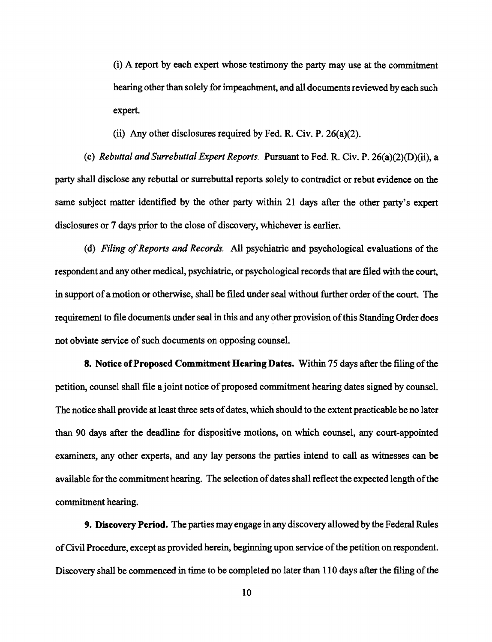(i) A report by each expert whose testimony the party may use at the commitment hearing other than solely for impeachment, and all documents reviewed by each such expert.

(ii) Any other disclosures required by Fed. R. Civ. P.  $26(a)(2)$ .

(c) *Rebuttal* and*Surrebuttal Expert Reports.* Pursuant to Fed. R. Civ. P. 26(a)(2)(D)(ii), a party shall disclose any rebuttal or surrebuttal reports solely to contradict or rebut evidence on the same subject matter identified by the other party within 21 days after the other party's expert disclosures or 7 days prior to the close of discovery, whichever is earlier.

(d) *Filing of Reports and Records.* All psychiatric and psychological evaluations of the respondent and any other medical, psychiatric, or psychological records that are filed with the court, in support of a motion or otherwise, shall be filed under seal without further order of the court. The requirement to file documents under seal in this and any other provision of this Standing Order does not obviate service of such documents on opposing counsel.

8. Notice of Proposed Commitment Hearing Dates. Within 75 days after the filing of the petition, counsel shall file a joint notice of proposed commitment hearing dates signed by counsel. The notice shall provide at least three sets of dates, which should to the extent practicable be no later than 90 days after the deadline for dispositive motions, on which counsel, any court-appointed examiners, any other experts, and any lay persons the parties intend to call as witnesses can be available for the commitment hearing. The selection of dates shall reflect the expected length of the commitment hearing.

9. Discovery Period. The parties may engage in any discovery allowed by the Federal Rules ofCivil Procedure, except as provided herein, beginning upon service ofthe petition on respondent. Discovery shall be commenced in time to be completed no later than 110 days after the filing of the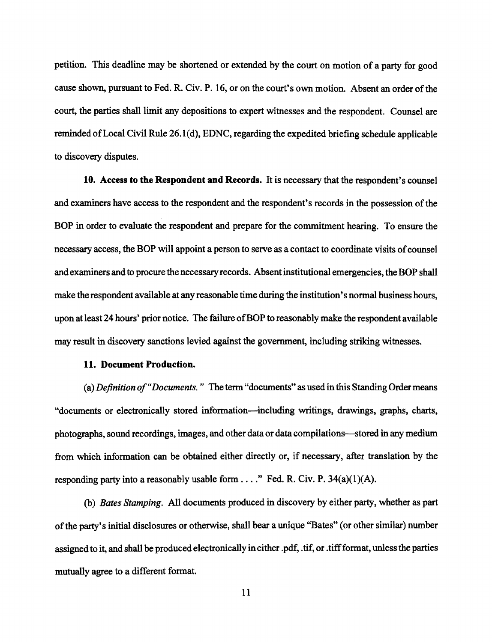petition. This deadline may be shortened or extended by the court on motion of a party for good cause shown, pursuant to Fed. R. Civ. P. 16, or on the court's own motion. Absent an order of the court, the parties shall limit any depositions to expert witnesses and the respondent. Counsel are reminded ofLocal Civil Rule 26.1 (d), EDNC, regarding the expedited briefing schedule applicable to discovery disputes.

10. Access to the Respondent and Records. It is necessary that the respondent's counsel and examiners have access to the respondent and the respondent's records in the possession of the BOP in order to evaluate the respondent and prepare for the commitment hearing. To ensure the necessary access, the BOP will appoint a person to serve as a contact to coordinate visits of counsel and examiners and to procure the necessary records. Absent institutional emergencies, the BOP shall make the respondent available at any reasonable time during the institution's normal business hours, upon at least 24 hours' prior notice. The failure of BOP to reasonably make the respondent available may result in discovery sanctions levied against the government, including striking witnesses.

#### 11. Document Production.

(a) *Definition of"Documents."* The term "documents" as used in this Standing Order means "documents or electronically stored information-including writings, drawings, graphs, charts, photographs, sound recordings, images, and other data or data compilations-stored in any medium from which information can be obtained either directly or, if necessary, after translation by the responding party into a reasonably usable form ...." Fed. R. Civ. P.  $34(a)(1)(A)$ .

(b) *Bates Stamping.* All documents produced in discovery by either party, whether as part ofthe party's initial disclosures or otherwise, shall bear a unique "Bates" (or other similar) number assigned to it, and shall be produced electronically in either. pdf, . tif, or .tiff format, unless the parties mutually agree to a different format.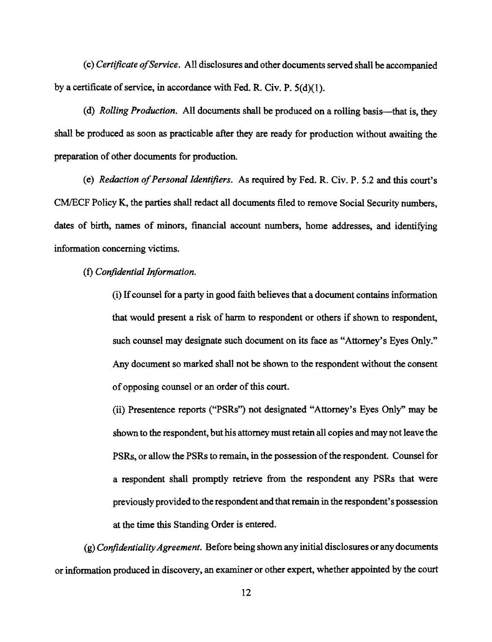(c) *Certificate ofService.* All disclosures and other documents served shall be accompanied by a certificate of service, in accordance with Fed. R. Civ. P.  $5(d)(1)$ .

(d) *Rolling Production.* All documents shall be produced on a rolling basis-that is, they shall be produced as soon as practicable after they are ready for production without awaiting the preparation of other documents for production.

(e) *Redaction of Personal Identifiers.* As required by Fed. R. Civ. P. 5.2 and this court's CMlECF Policy K, the parties shall redact all documents filed to remove Social Security numbers, dates of birth, names of minors, financial account numbers, home addresses, and identifying information concerning victims.

(f) *Confidential Information.* 

(i) Ifcounsel for a party in good faith believes that a document contains information that would present a risk of harm to respondent or others if shown to respondent, such counsel may designate such document on its face as "Attorney's Eyes Only." Any document so marked shall not be shown to the respondent without the consent of opposing counsel or an order of this court.

(ii) Presentence reports ("PSRs") not designated "Attorney's Eyes Only" may be shown to the respondent, but his attorney must retain all copies and may not leave the PSRs, or allow the PSRs to remain, in the possession ofthe respondent. Counsel for a respondent shall promptly retrieve from the respondent any PSRs that were previously provided to the respondent and that remain in the respondent's possession at the time this Standing Order is entered.

(g) *Confidentiality Agreement.* Before being shown any initial disclosures or any documents or information produced in discovery, an examiner or other expert, whether appointed by the court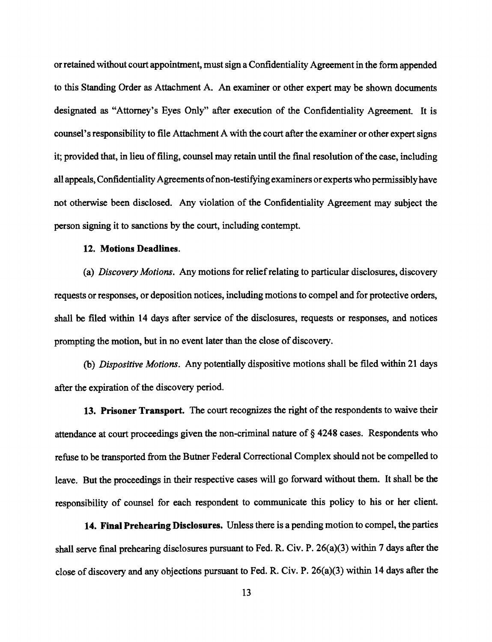or retained without court appointment, must sign a Confidentiality Agreement in the form appended to this Standing Order as Attachment A. An examiner or other expert may be shown documents designated as "Attorney's Eyes Only" after execution of the Confidentiality Agreement. It is counsel's responsibility to file Attachment A with the court after the examiner or other expert signs it; provided that, in lieu of filing, counsel may retain until the final resolution of the case, including all appeals, Confidentiality Agreements ofnon-testifying examiners or experts who permissibly have not otherwise been disclosed. Any violation of the Confidentiality Agreement may subject the person signing it to sanctions by the court, including contempt.

#### 12. Motions Deadlines.

(a) *Discovery Motions.* Any motions for relief relating to particular disclosures, discovery requests or responses, or deposition notices, including motions to compel and for protective orders, shall be filed within 14 days after service of the disclosures, requests or responses, and notices prompting the motion, but in no event later than the close of discovery.

(b) *Dispositive Motions.* Any potentially dispositive motions shall be filed within 21 days after the expiration of the discovery period.

13. Prisoner Transport. The court recognizes the right of the respondents to waive their attendance at court proceedings given the non-criminal nature of § 4248 cases. Respondents who refuse to be transported from the Butner Federal Correctional Complex should not be compelled to leave. But the proceedings in their respective cases will go forward without them. It shall be the responsibility of counsel for each respondent to communicate this policy to his or her client.

14. Final Prehearing Disclosures. Unless there is a pending motion to compel, the parties shall serve final prehearing disclosures pursuant to Fed. R. Civ. P. 26(a)(3) within 7 days after the close of discovery and any objections pursuant to Fed. R. Civ. P. 26(a)(3) within 14 days after the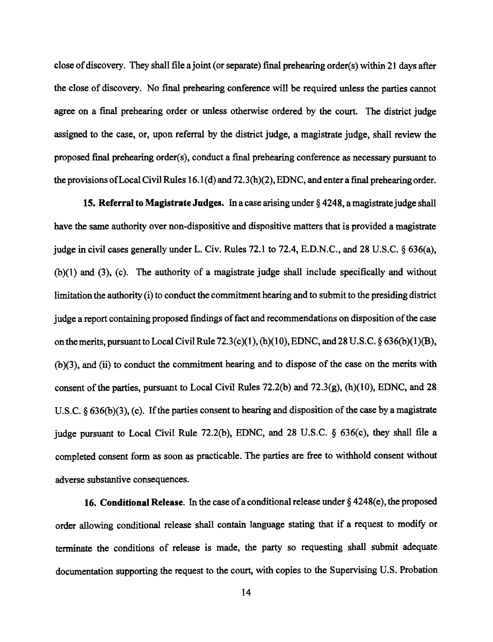close of discovery. They shall file a joint (or separate) final prehearing order( $s$ ) within 21 days after the close of discovery. No final prehearing conference will be required unless the parties cannot agree on a final prehearing order or unless otherwise ordered by the court. The district judge assigned to the case, or, upon referral by the district judge, a magistrate judge, shall review the proposed fInal prehearing order(s), conduct a fInal prehearing conference as necessary pursuant to the provisions ofLocal Civil Rules 16.1 (d) and 72.3 (h)(2), EDNC, and enter a fInal prehearing order.

**15. Referral to Magistrate Judges.** In a case arising under §4248, a magistrate judge shall have the same authority over non-dispositive and dispositive matters that is provided a magistrate judge in civil cases generally under L. Civ. Rules 72.1 to 72.4, E.D.N.C., and 28 U.S.C. § 636(a),  $(b)(1)$  and  $(3)$ ,  $(c)$ . The authority of a magistrate judge shall include specifically and without limitation the authority (i) to conduct the commitment hearing and to submit to the presiding district judge a report containing proposed findings of fact and recommendations on disposition of the case on the merits, pursuant to Local Civil Rule 72.3(c)(1), (h)(10), EDNC, and 28 U.S.C.  $\S$  636(b)(1)(B), (b )(3), and (ii) to conduct the commitment hearing and to dispose of the case on the merits with consent of the parties, pursuant to Local Civil Rules 72.2(b) and 72.3(g),  $(h)(10)$ , EDNC, and 28 U.S.C.  $\delta$  636(b)(3), (c). If the parties consent to hearing and disposition of the case by a magistrate judge pursuant to Local Civil Rule 72.2(b), EDNC, and 28 U.S.C. § 636(c), they shall file a completed consent form as soon as practicable. The parties are free to withhold consent without adverse substantive consequences.

**16. Conditional Release.** In the case of a conditional release under §4248(e), the proposed order allowing conditional release shall contain language stating that if a request to modify or terminate the conditions of release is made, the party. so requesting shall submit adequate documentation supporting the request to the court, with copies to the Supervising U.S. Probation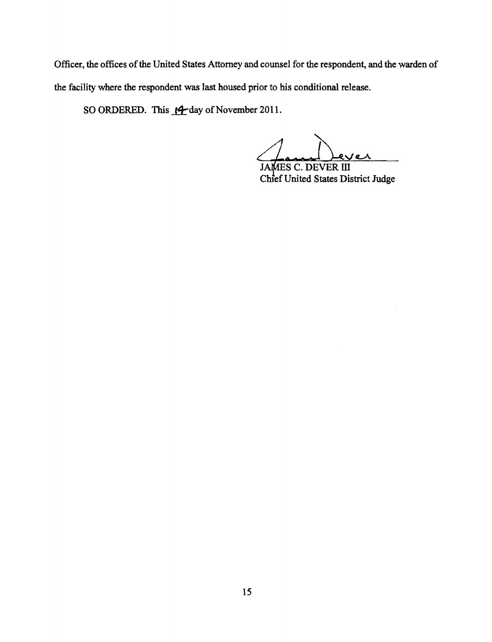Officer, the offices of the United States Attorney and counsel for the respondent, and the warden of the facility where the respondent was last housed prior to his conditional release.

SO ORDERED. This  $\cancel{14}$  day of November 2011.

JAMES C. DEVER III<br>Chief United States District Judge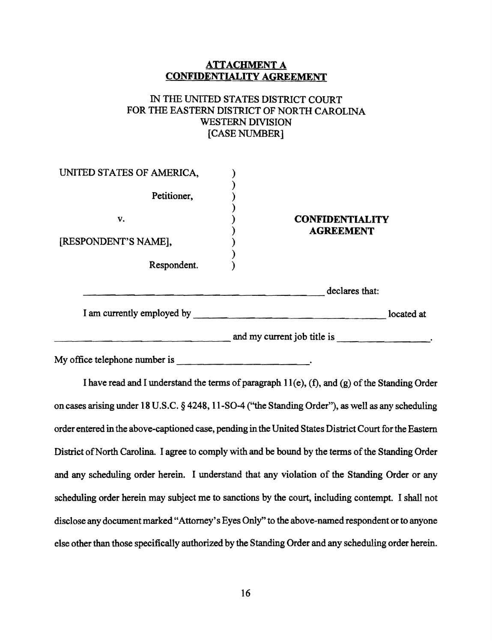## **ATTACHMENT A CONFIDENTIALITY AGREEMENT**

## IN THE UNITED STATES DISTRICT COURT FOR THE EASTERN DISTRICT OF NORTH CAROLINA WESTERN DIVISION [CASE NUMBER]

| UNITED STATES OF AMERICA,                 |                                            |  |
|-------------------------------------------|--------------------------------------------|--|
| Petitioner,                               |                                            |  |
| v.<br>[RESPONDENT'S NAME],<br>Respondent. | <b>CONFIDENTIALITY</b><br><b>AGREEMENT</b> |  |
|                                           | declares that:                             |  |
| I am currently employed by                | located at                                 |  |
|                                           | and my current job title is                |  |

My office telephone number is \_\_\_\_\_\_\_\_\_\_\_\_\_\_'

I have read and I understand the terms of paragraph  $11(e)$ , (f), and (g) of the Standing Order on cases arising under 18 U.S.C. § 4248, 11-SO-4 ("the Standing Order"), as well as any scheduling order entered in the above-captioned case, pending in the United States District Court for the Eastern District of North Carolina. I agree to comply with and be bound by the terms of the Standing Order and any scheduling order herein. I understand that any violation of the Standing Order or any scheduling order herein may subject me to sanctions by the court, including contempt. I shall not disclose any document marked "Attorney's Eyes Only" to the above-named respondent or to anyone else other than those specifically authorized by the Standing Order and any scheduling order herein.